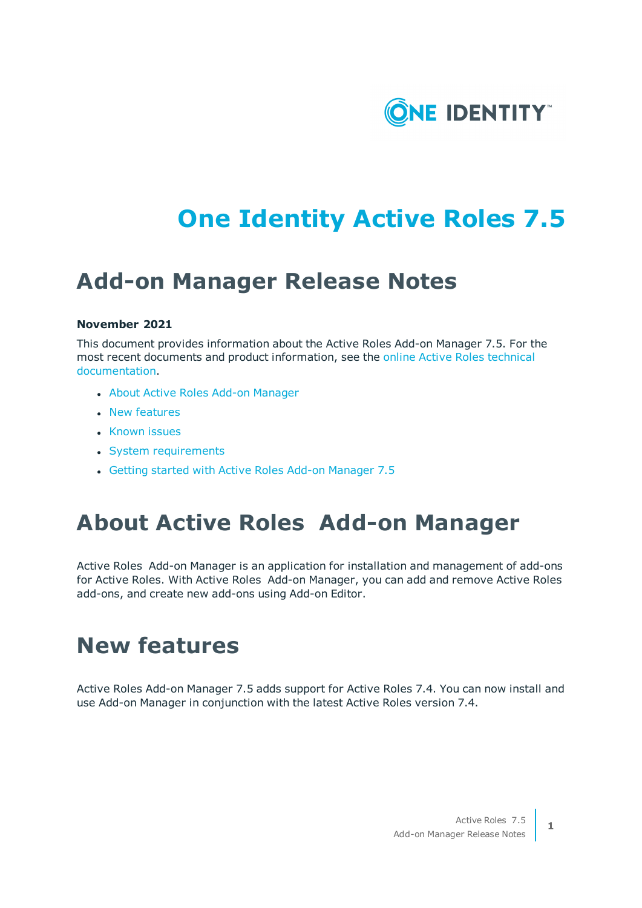

# **One Identity Active Roles 7.5**

## **Add-on Manager Release Notes**

### **November 2021**

This document provides information about the Active Roles Add-on Manager 7.5. For the most recent documents and product information, see the online Active Roles [technical](https://support.oneidentity.com/technical-documents/active-roles/) [documentation.](https://support.oneidentity.com/technical-documents/active-roles/)

- **.** About Active [Roles Add-on](#page-0-0) Manager
- New [features](#page-0-1)
- [Known](#page-1-0) issues
- System [requirements](#page-3-0)
- <span id="page-0-0"></span>• Getting started [with Active](#page-4-0) Roles Add-on Manager 7.5

## **About Active Roles Add-on Manager**

Active Roles Add-on Manager is an application for installation and management of add-ons for Active Roles. With Active Roles Add-on Manager, you can add and remove Active Roles add-ons, and create new add-ons using Add-on Editor.

## <span id="page-0-1"></span>**New features**

Active Roles Add-on Manager 7.5 adds support for Active Roles 7.4. You can now install and use Add-on Manager in conjunction with the latest Active Roles version 7.4.

**1**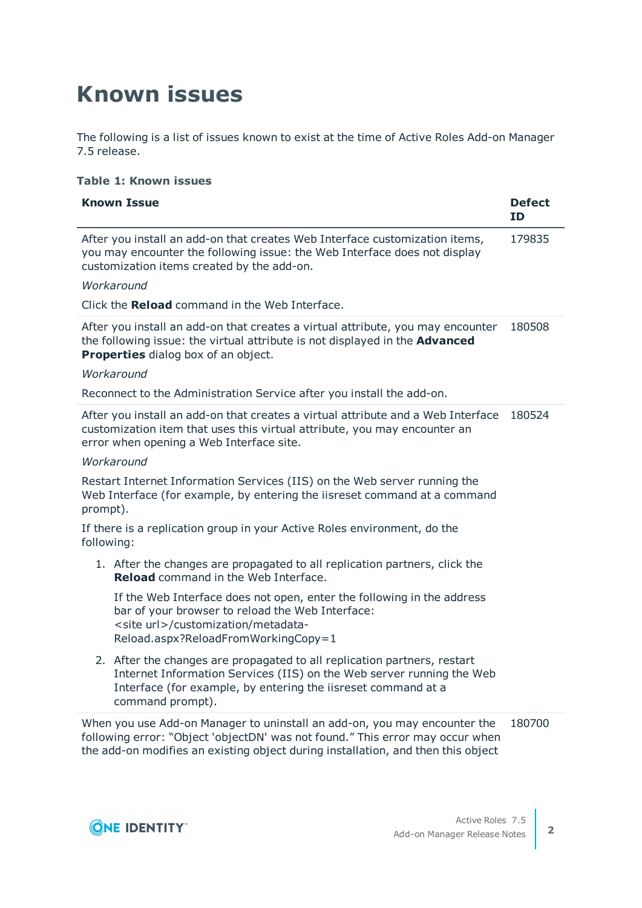# <span id="page-1-0"></span>**Known issues**

The following is a list of issues known to exist at the time of Active Roles Add-on Manager 7.5 release.

### **Table 1: Known issues**

| <b>Known Issue</b>                                                                                                                                                                                                                             | <b>Defect</b><br>ΙD |
|------------------------------------------------------------------------------------------------------------------------------------------------------------------------------------------------------------------------------------------------|---------------------|
| After you install an add-on that creates Web Interface customization items,<br>you may encounter the following issue: the Web Interface does not display<br>customization items created by the add-on.                                         | 179835              |
| Workaround                                                                                                                                                                                                                                     |                     |
| Click the Reload command in the Web Interface.                                                                                                                                                                                                 |                     |
| After you install an add-on that creates a virtual attribute, you may encounter<br>the following issue: the virtual attribute is not displayed in the <b>Advanced</b><br>Properties dialog box of an object.                                   | 180508              |
| Workaround                                                                                                                                                                                                                                     |                     |
| Reconnect to the Administration Service after you install the add-on.                                                                                                                                                                          |                     |
| After you install an add-on that creates a virtual attribute and a Web Interface<br>customization item that uses this virtual attribute, you may encounter an<br>error when opening a Web Interface site.                                      | 180524              |
| Workaround                                                                                                                                                                                                                                     |                     |
| Restart Internet Information Services (IIS) on the Web server running the<br>Web Interface (for example, by entering the iisreset command at a command<br>prompt).                                                                             |                     |
| If there is a replication group in your Active Roles environment, do the<br>following:                                                                                                                                                         |                     |
| 1. After the changes are propagated to all replication partners, click the<br><b>Reload</b> command in the Web Interface.                                                                                                                      |                     |
| If the Web Interface does not open, enter the following in the address<br>bar of your browser to reload the Web Interface:<br><site url="">/customization/metadata-<br/>Reload.aspx?ReloadFromWorkingCopy=1</site>                             |                     |
| 2. After the changes are propagated to all replication partners, restart<br>Internet Information Services (IIS) on the Web server running the Web<br>Interface (for example, by entering the iisreset command at a<br>command prompt).         |                     |
| When you use Add-on Manager to uninstall an add-on, you may encounter the<br>following error: "Object 'objectDN' was not found." This error may occur when<br>the add-on modifies an existing object during installation, and then this object | 180700              |

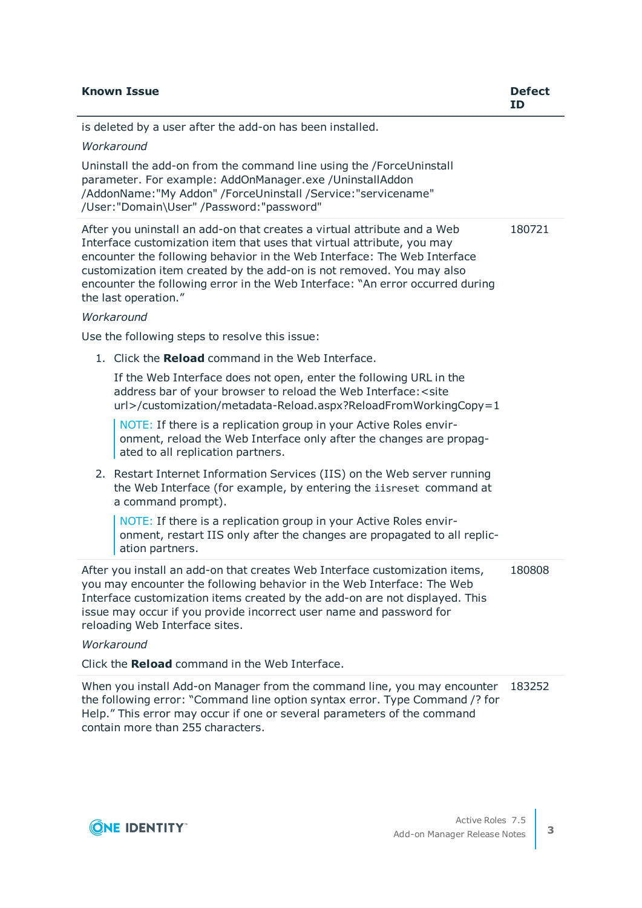| <b>Known Issue</b>                                                                                                                                                                                                                                                                                                                                                                                               | <b>Defect</b><br><b>ID</b> |
|------------------------------------------------------------------------------------------------------------------------------------------------------------------------------------------------------------------------------------------------------------------------------------------------------------------------------------------------------------------------------------------------------------------|----------------------------|
| is deleted by a user after the add-on has been installed.                                                                                                                                                                                                                                                                                                                                                        |                            |
| Workaround                                                                                                                                                                                                                                                                                                                                                                                                       |                            |
| Uninstall the add-on from the command line using the /ForceUninstall<br>parameter. For example: AddOnManager.exe / UninstallAddon<br>/AddonName:"My Addon" /ForceUninstall /Service:"servicename"<br>/User:"Domain\User" /Password:"password"                                                                                                                                                                    |                            |
| After you uninstall an add-on that creates a virtual attribute and a Web<br>Interface customization item that uses that virtual attribute, you may<br>encounter the following behavior in the Web Interface: The Web Interface<br>customization item created by the add-on is not removed. You may also<br>encounter the following error in the Web Interface: "An error occurred during<br>the last operation." | 180721                     |
| Workaround                                                                                                                                                                                                                                                                                                                                                                                                       |                            |
| Use the following steps to resolve this issue:                                                                                                                                                                                                                                                                                                                                                                   |                            |
| 1. Click the Reload command in the Web Interface.                                                                                                                                                                                                                                                                                                                                                                |                            |
| If the Web Interface does not open, enter the following URL in the<br>address bar of your browser to reload the Web Interface: < site<br>url>/customization/metadata-Reload.aspx?ReloadFromWorkingCopy=1                                                                                                                                                                                                         |                            |
| NOTE: If there is a replication group in your Active Roles envir-<br>onment, reload the Web Interface only after the changes are propag-<br>ated to all replication partners.                                                                                                                                                                                                                                    |                            |
| 2. Restart Internet Information Services (IIS) on the Web server running<br>the Web Interface (for example, by entering the iisreset command at<br>a command prompt).                                                                                                                                                                                                                                            |                            |
| NOTE: If there is a replication group in your Active Roles envir-<br>onment, restart IIS only after the changes are propagated to all replic-<br>ation partners.                                                                                                                                                                                                                                                 |                            |
| After you install an add-on that creates Web Interface customization items,<br>you may encounter the following behavior in the Web Interface: The Web<br>Interface customization items created by the add-on are not displayed. This<br>issue may occur if you provide incorrect user name and password for<br>reloading Web Interface sites.<br>Workaround                                                      |                            |
| Click the Reload command in the Web Interface.                                                                                                                                                                                                                                                                                                                                                                   |                            |
| When you install Add-on Manager from the command line, you may encounter                                                                                                                                                                                                                                                                                                                                         | 183252                     |

the following error: "Command line option syntax error. Type Command /? for Help." This error may occur if one or several parameters of the command contain more than 255 characters.

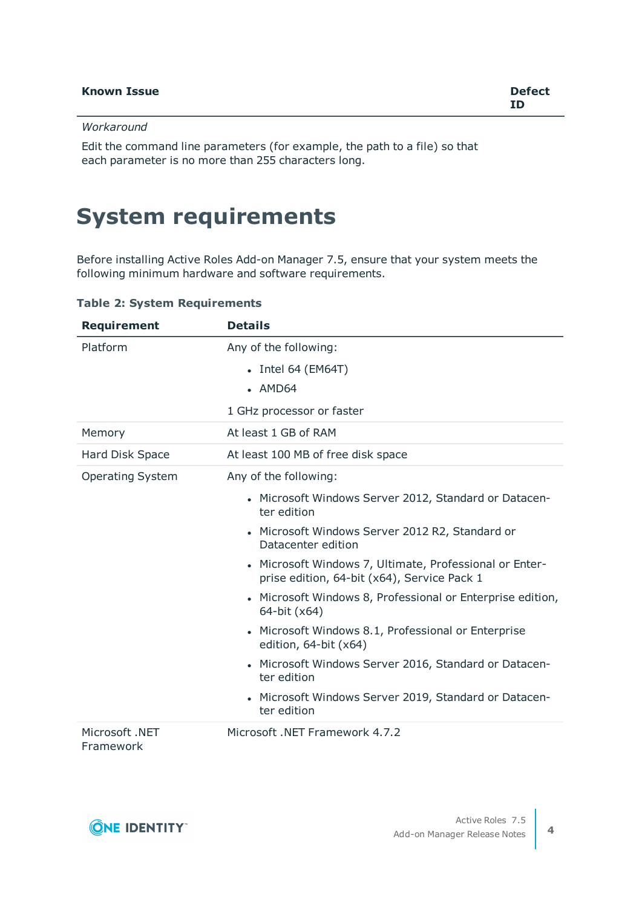### *Workaround*

Edit the command line parameters (for example, the path to a file) so that each parameter is no more than 255 characters long.

# <span id="page-3-0"></span>**System requirements**

Before installing Active Roles Add-on Manager 7.5, ensure that your system meets the following minimum hardware and software requirements.

| <b>Requirement</b>          | <b>Details</b>                                                                                         |
|-----------------------------|--------------------------------------------------------------------------------------------------------|
| Platform                    | Any of the following:                                                                                  |
|                             | $\bullet$ Intel 64 (EM64T)                                                                             |
|                             | $-MD64$                                                                                                |
|                             | 1 GHz processor or faster                                                                              |
| Memory                      | At least 1 GB of RAM                                                                                   |
| Hard Disk Space             | At least 100 MB of free disk space                                                                     |
| <b>Operating System</b>     | Any of the following:                                                                                  |
|                             | • Microsoft Windows Server 2012, Standard or Datacen-<br>ter edition                                   |
|                             | Microsoft Windows Server 2012 R2, Standard or<br>$\bullet$<br>Datacenter edition                       |
|                             | • Microsoft Windows 7, Ultimate, Professional or Enter-<br>prise edition, 64-bit (x64), Service Pack 1 |
|                             | • Microsoft Windows 8, Professional or Enterprise edition,<br>64-bit (x64)                             |
|                             | Microsoft Windows 8.1, Professional or Enterprise<br>edition, 64-bit (x64)                             |
|                             | Microsoft Windows Server 2016, Standard or Datacen-<br>$\bullet$<br>ter edition                        |
|                             | Microsoft Windows Server 2019, Standard or Datacen-<br>$\bullet$<br>ter edition                        |
| Microsoft .NET<br>Framework | Microsoft .NET Framework 4.7.2                                                                         |

**Table 2: System Requirements**

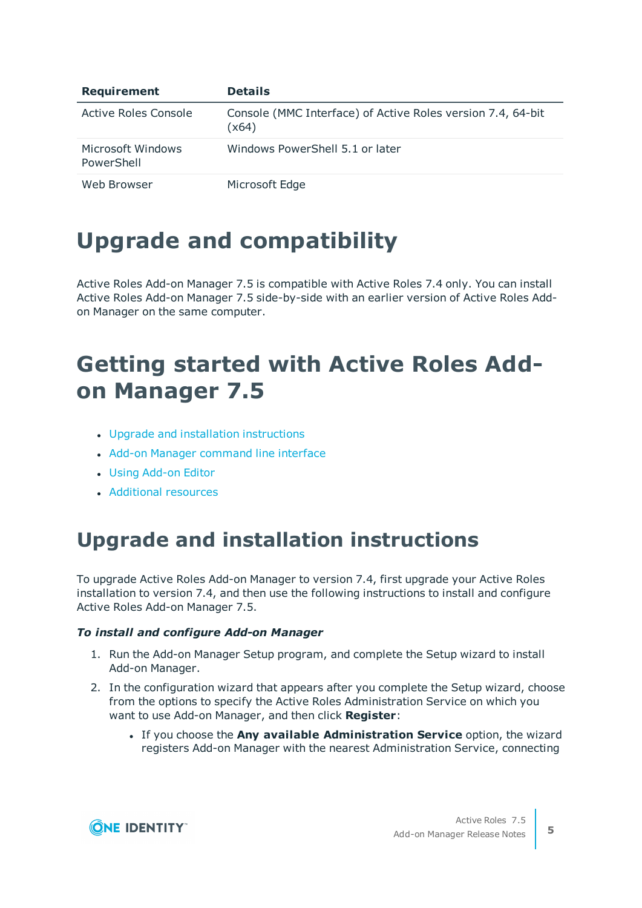| Requirement                     | <b>Details</b>                                                       |
|---------------------------------|----------------------------------------------------------------------|
| Active Roles Console            | Console (MMC Interface) of Active Roles version 7.4, 64-bit<br>(x64) |
| Microsoft Windows<br>PowerShell | Windows PowerShell 5.1 or later                                      |
| Web Browser                     | Microsoft Edge                                                       |

# **Upgrade and compatibility**

Active Roles Add-on Manager 7.5 is compatible with Active Roles 7.4 only. You can install Active Roles Add-on Manager 7.5 side-by-side with an earlier version of Active Roles Addon Manager on the same computer.

# <span id="page-4-0"></span>**Getting started with Active Roles Addon Manager 7.5**

- Upgrade and installation [instructions](#page-4-1)
- Add-on Manager [command](#page-5-0) line interface
- **.** Using [Add-on](#page-5-1) Editor
- **[Additional](#page-9-0) resources**

## <span id="page-4-1"></span>**Upgrade and installation instructions**

To upgrade Active Roles Add-on Manager to version 7.4, first upgrade your Active Roles installation to version 7.4, and then use the following instructions to install and configure Active Roles Add-on Manager 7.5.

### *To install and configure Add-on Manager*

- 1. Run the Add-on Manager Setup program, and complete the Setup wizard to install Add-on Manager.
- 2. In the configuration wizard that appears after you complete the Setup wizard, choose from the options to specify the Active Roles Administration Service on which you want to use Add-on Manager, and then click **Register**:
	- <sup>l</sup> If you choose the **Any available Administration Service** option, the wizard registers Add-on Manager with the nearest Administration Service, connecting

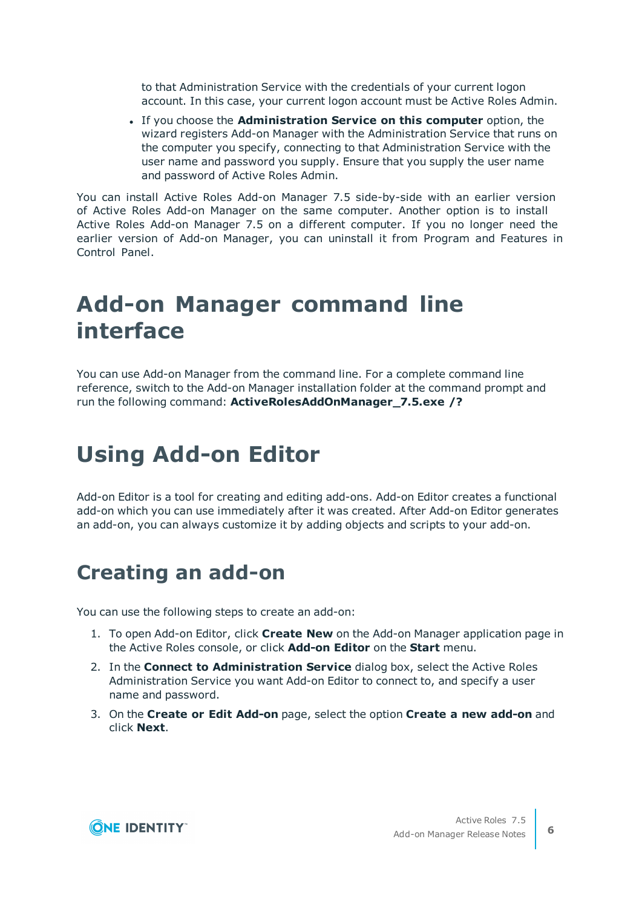to that Administration Service with the credentials of your current logon account. In this case, your current logon account must be Active Roles Admin.

<sup>l</sup> If you choose the **Administration Service on this computer** option, the wizard registers Add-on Manager with the Administration Service that runs on the computer you specify, connecting to that Administration Service with the user name and password you supply. Ensure that you supply the user name and password of Active Roles Admin.

You can install Active Roles Add-on Manager 7.5 side-by-side with an earlier version of Active Roles Add-on Manager on the same computer. Another option is to install Active Roles Add-on Manager 7.5 on a different computer. If you no longer need the earlier version of Add-on Manager, you can uninstall it from Program and Features in Control Panel.

## <span id="page-5-0"></span>**Add-on Manager command line interface**

You can use Add-on Manager from the command line. For a complete command line reference, switch to the Add-on Manager installation folder at the command prompt and run the following command: **ActiveRolesAddOnManager\_7.5.exe /?**

# <span id="page-5-1"></span>**Using Add-on Editor**

Add-on Editor is a tool for creating and editing add-ons. Add-on Editor creates a functional add-on which you can use immediately after it was created. After Add-on Editor generates an add-on, you can always customize it by adding objects and scripts to your add-on.

## **Creating an add-on**

You can use the following steps to create an add-on:

- 1. To open Add-on Editor, click **Create New** on the Add-on Manager application page in the Active Roles console, or click **Add-on Editor** on the **Start** menu.
- 2. In the **Connect to Administration Service** dialog box, select the Active Roles Administration Service you want Add-on Editor to connect to, and specify a user name and password.
- 3. On the **Create or Edit Add-on** page, select the option **Create a new add-on** and click **Next**.

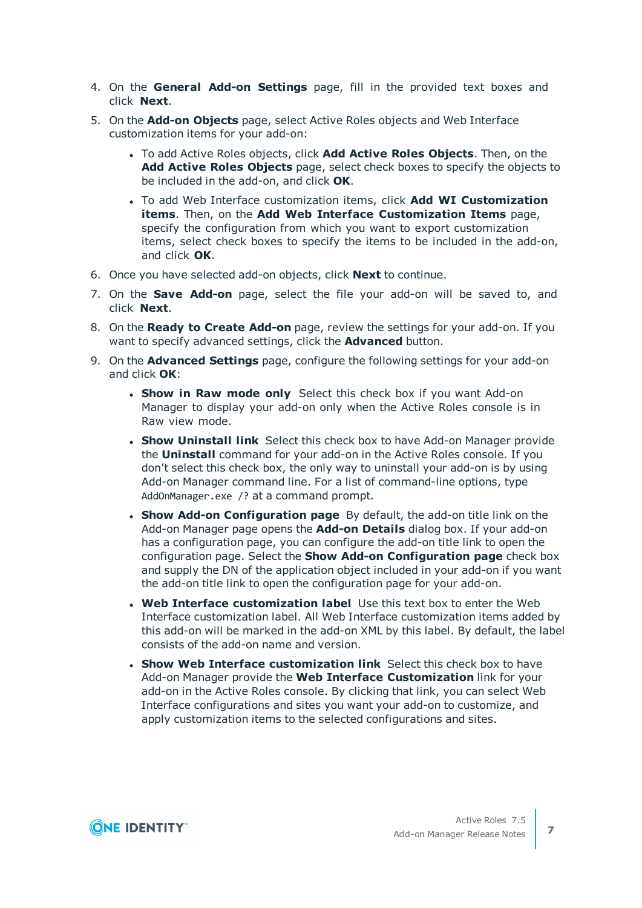- 4. On the **General Add-on Settings** page, fill in the provided text boxes and click **Next**.
- 5. On the **Add-on Objects** page, select Active Roles objects and Web Interface customization items for your add-on:
	- <sup>l</sup> To add Active Roles objects, click **Add Active Roles Objects**. Then, on the **Add Active Roles Objects** page, select check boxes to specify the objects to be included in the add-on, and click **OK**.
	- <sup>l</sup> To add Web Interface customization items, click **Add WI Customization items**. Then, on the **Add Web Interface Customization Items** page, specify the configuration from which you want to export customization items, select check boxes to specify the items to be included in the add-on, and click **OK**.
- 6. Once you have selected add-on objects, click **Next** to continue.
- 7. On the **Save Add-on** page, select the file your add-on will be saved to, and click **Next**.
- 8. On the **Ready to Create Add-on** page, review the settings for your add-on. If you want to specify advanced settings, click the **Advanced** button.
- 9. On the **Advanced Settings** page, configure the following settings for your add-on and click **OK**:
	- **. Show in Raw mode only** Select this check box if you want Add-on Manager to display your add-on only when the Active Roles console is in Raw view mode.
	- **. Show Uninstall link** Select this check box to have Add-on Manager provide the **Uninstall** command for your add-on in the Active Roles console. If you don't select this check box, the only way to uninstall your add-on is by using Add-on Manager command line. For a list of command-line options, type AddOnManager.exe /? at a command prompt.
	- <sup>l</sup> **Show Add-on Configuration page** By default, the add-on title link on the Add-on Manager page opens the **Add-on Details** dialog box. If your add-on has a configuration page, you can configure the add-on title link to open the configuration page. Select the **Show Add-on Configuration page** check box and supply the DN of the application object included in your add-on if you want the add-on title link to open the configuration page for your add-on.
	- <sup>l</sup> **Web Interface customization label** Use this text box to enter the Web Interface customization label. All Web Interface customization items added by this add-on will be marked in the add-on XML by this label. By default, the label consists of the add-on name and version.
	- <sup>l</sup> **Show Web Interface customization link** Select this check box to have Add-on Manager provide the **Web Interface Customization** link for your add-on in the Active Roles console. By clicking that link, you can select Web Interface configurations and sites you want your add-on to customize, and apply customization items to the selected configurations and sites.

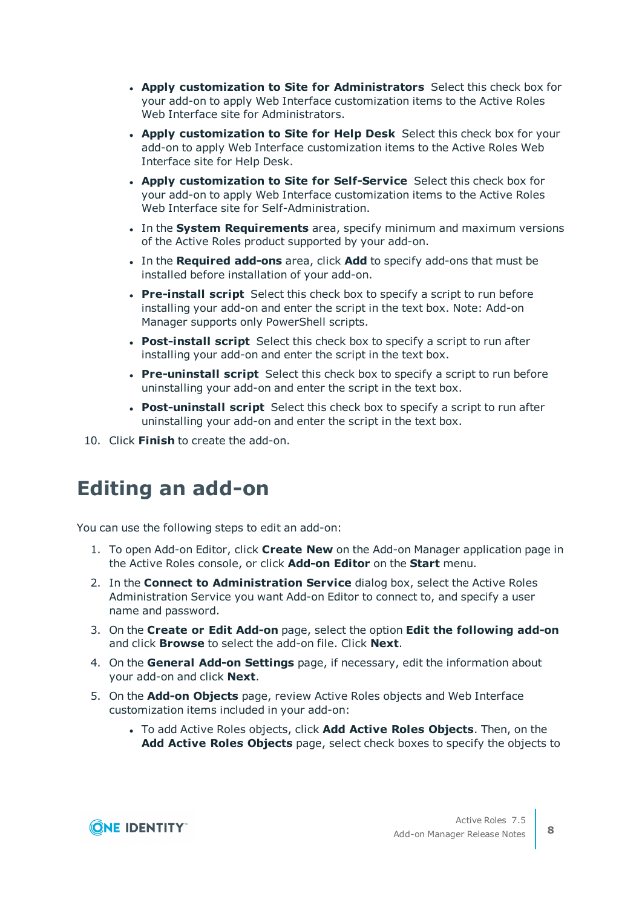- <sup>l</sup> **Apply customization to Site for Administrators** Select this check box for your add-on to apply Web Interface customization items to the Active Roles Web Interface site for Administrators.
- <sup>l</sup> **Apply customization to Site for Help Desk** Select this check box for your add-on to apply Web Interface customization items to the Active Roles Web Interface site for Help Desk.
- <sup>l</sup> **Apply customization to Site for Self-Service** Select this check box for your add-on to apply Web Interface customization items to the Active Roles Web Interface site for Self-Administration.
- **.** In the **System Requirements** area, specify minimum and maximum versions of the Active Roles product supported by your add-on.
- <sup>l</sup> In the **Required add-ons** area, click **Add** to specify add-ons that must be installed before installation of your add-on.
- **Pre-install script** Select this check box to specify a script to run before installing your add-on and enter the script in the text box. Note: Add-on Manager supports only PowerShell scripts.
- **Post-install script** Select this check box to specify a script to run after installing your add-on and enter the script in the text box.
- **Pre-uninstall script** Select this check box to specify a script to run before uninstalling your add-on and enter the script in the text box.
- <sup>l</sup> **Post-uninstall script** Select this check box to specify a script to run after uninstalling your add-on and enter the script in the text box.
- 10. Click **Finish** to create the add-on.

## **Editing an add-on**

You can use the following steps to edit an add-on:

- 1. To open Add-on Editor, click **Create New** on the Add-on Manager application page in the Active Roles console, or click **Add-on Editor** on the **Start** menu.
- 2. In the **Connect to Administration Service** dialog box, select the Active Roles Administration Service you want Add-on Editor to connect to, and specify a user name and password.
- 3. On the **Create or Edit Add-on** page, select the option **Edit the following add-on** and click **Browse** to select the add-on file. Click **Next**.
- 4. On the **General Add-on Settings** page, if necessary, edit the information about your add-on and click **Next**.
- 5. On the **Add-on Objects** page, review Active Roles objects and Web Interface customization items included in your add-on:
	- <sup>l</sup> To add Active Roles objects, click **Add Active Roles Objects**. Then, on the **Add Active Roles Objects** page, select check boxes to specify the objects to

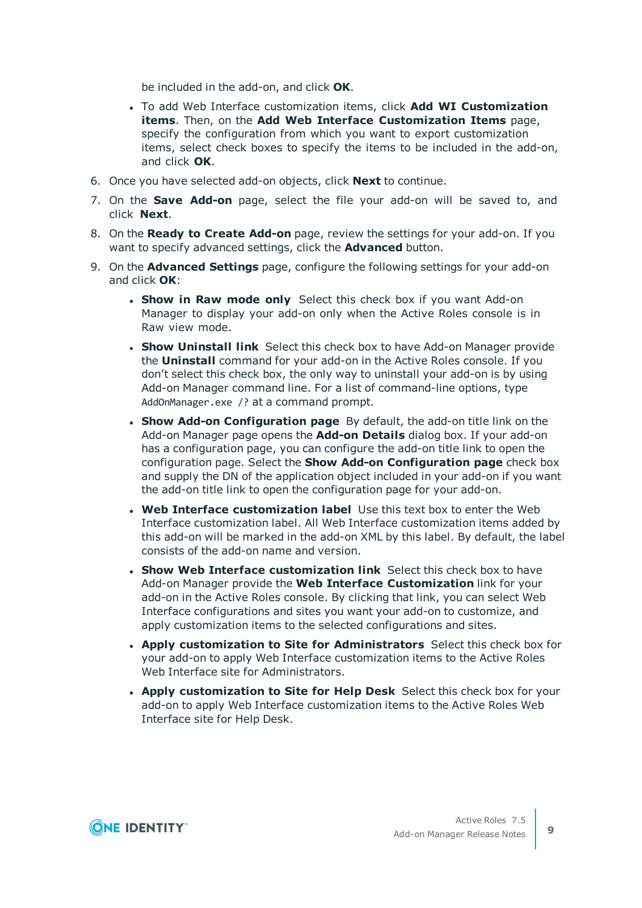be included in the add-on, and click **OK**.

- <sup>l</sup> To add Web Interface customization items, click **Add WI Customization items**. Then, on the **Add Web Interface Customization Items** page, specify the configuration from which you want to export customization items, select check boxes to specify the items to be included in the add-on, and click **OK**.
- 6. Once you have selected add-on objects, click **Next** to continue.
- 7. On the **Save Add-on** page, select the file your add-on will be saved to, and click **Next**.
- 8. On the **Ready to Create Add-on** page, review the settings for your add-on. If you want to specify advanced settings, click the **Advanced** button.
- 9. On the **Advanced Settings** page, configure the following settings for your add-on and click **OK**:
	- **. Show in Raw mode only** Select this check box if you want Add-on Manager to display your add-on only when the Active Roles console is in Raw view mode.
	- **. Show Uninstall link** Select this check box to have Add-on Manager provide the **Uninstall** command for your add-on in the Active Roles console. If you don't select this check box, the only way to uninstall your add-on is by using Add-on Manager command line. For a list of command-line options, type AddOnManager.exe /? at a command prompt.
	- <sup>l</sup> **Show Add-on Configuration page** By default, the add-on title link on the Add-on Manager page opens the **Add-on Details** dialog box. If your add-on has a configuration page, you can configure the add-on title link to open the configuration page. Select the **Show Add-on Configuration page** check box and supply the DN of the application object included in your add-on if you want the add-on title link to open the configuration page for your add-on.
	- <sup>l</sup> **Web Interface customization label** Use this text box to enter the Web Interface customization label. All Web Interface customization items added by this add-on will be marked in the add-on XML by this label. By default, the label consists of the add-on name and version.
	- <sup>l</sup> **Show Web Interface customization link** Select this check box to have Add-on Manager provide the **Web Interface Customization** link for your add-on in the Active Roles console. By clicking that link, you can select Web Interface configurations and sites you want your add-on to customize, and apply customization items to the selected configurations and sites.
	- <sup>l</sup> **Apply customization to Site for Administrators** Select this check box for your add-on to apply Web Interface customization items to the Active Roles Web Interface site for Administrators.
	- <sup>l</sup> **Apply customization to Site for Help Desk** Select this check box for your add-on to apply Web Interface customization items to the Active Roles Web Interface site for Help Desk.

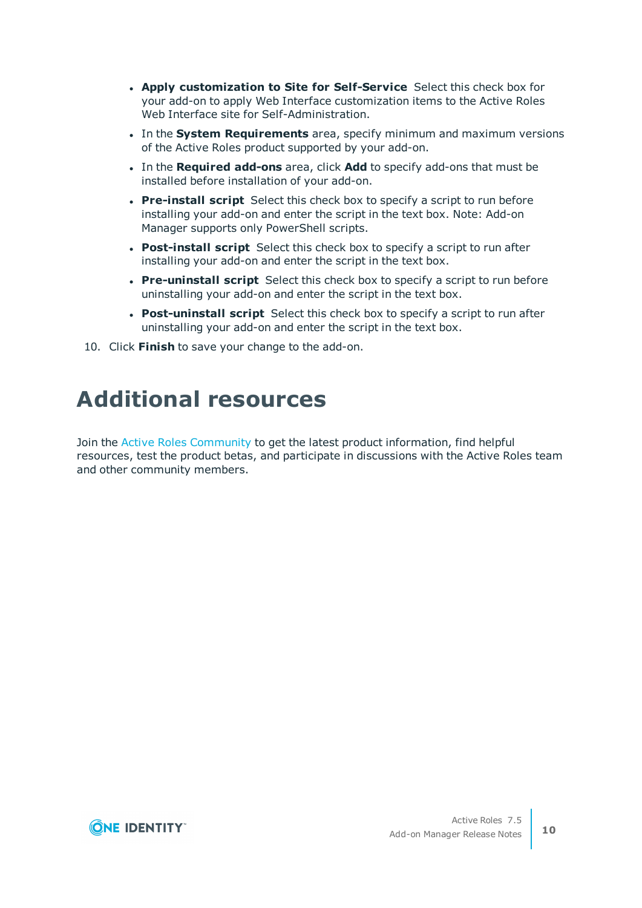- <sup>l</sup> **Apply customization to Site for Self-Service** Select this check box for your add-on to apply Web Interface customization items to the Active Roles Web Interface site for Self-Administration.
- **.** In the **System Requirements** area, specify minimum and maximum versions of the Active Roles product supported by your add-on.
- <sup>l</sup> In the **Required add-ons** area, click **Add** to specify add-ons that must be installed before installation of your add-on.
- **Pre-install script** Select this check box to specify a script to run before installing your add-on and enter the script in the text box. Note: Add-on Manager supports only PowerShell scripts.
- **Post-install script** Select this check box to specify a script to run after installing your add-on and enter the script in the text box.
- **Pre-uninstall script** Select this check box to specify a script to run before uninstalling your add-on and enter the script in the text box.
- **Post-uninstall script** Select this check box to specify a script to run after uninstalling your add-on and enter the script in the text box.
- <span id="page-9-0"></span>10. Click **Finish** to save your change to the add-on.

## **Additional resources**

Join the Active Roles [Community](https://www.quest.com/community/products/one-identity/f/active-roles) to get the latest product information, find helpful resources, test the product betas, and participate in discussions with the Active Roles team and other community members.

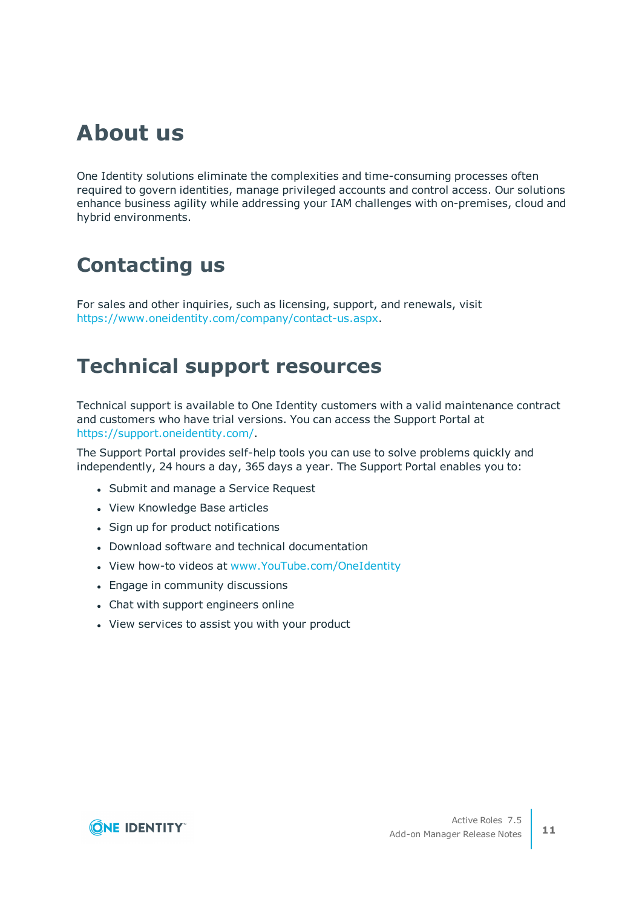## **About us**

One Identity solutions eliminate the complexities and time-consuming processes often required to govern identities, manage privileged accounts and control access. Our solutions enhance business agility while addressing your IAM challenges with on-premises, cloud and hybrid environments.

## **Contacting us**

For sales and other inquiries, such as licensing, support, and renewals, visit <https://www.oneidentity.com/company/contact-us.aspx>.

### **Technical support resources**

Technical support is available to One Identity customers with a valid maintenance contract and customers who have trial versions. You can access the Support Portal at [https://support.oneidentity.com/.](https://support.oneidentity.com/)

The Support Portal provides self-help tools you can use to solve problems quickly and independently, 24 hours a day, 365 days a year. The Support Portal enables you to:

- Submit and manage a Service Request
- View Knowledge Base articles
- Sign up for product notifications
- Download software and technical documentation
- View how-to videos at [www.YouTube.com/OneIdentity](http://www.youtube.com/OneIdentity)
- Engage in community discussions
- Chat with support engineers online
- View services to assist you with your product